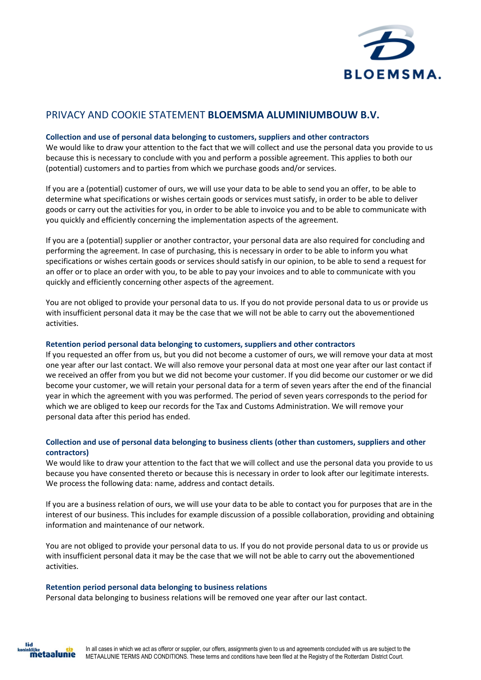

# PRIVACY AND COOKIE STATEMENT **BLOEMSMA ALUMINIUMBOUW B.V.**

## **Collection and use of personal data belonging to customers, suppliers and other contractors**

We would like to draw your attention to the fact that we will collect and use the personal data you provide to us because this is necessary to conclude with you and perform a possible agreement. This applies to both our (potential) customers and to parties from which we purchase goods and/or services.

If you are a (potential) customer of ours, we will use your data to be able to send you an offer, to be able to determine what specifications or wishes certain goods or services must satisfy, in order to be able to deliver goods or carry out the activities for you, in order to be able to invoice you and to be able to communicate with you quickly and efficiently concerning the implementation aspects of the agreement.

If you are a (potential) supplier or another contractor, your personal data are also required for concluding and performing the agreement. In case of purchasing, this is necessary in order to be able to inform you what specifications or wishes certain goods or services should satisfy in our opinion, to be able to send a request for an offer or to place an order with you, to be able to pay your invoices and to able to communicate with you quickly and efficiently concerning other aspects of the agreement.

You are not obliged to provide your personal data to us. If you do not provide personal data to us or provide us with insufficient personal data it may be the case that we will not be able to carry out the abovementioned activities.

### **Retention period personal data belonging to customers, suppliers and other contractors**

If you requested an offer from us, but you did not become a customer of ours, we will remove your data at most one year after our last contact. We will also remove your personal data at most one year after our last contact if we received an offer from you but we did not become your customer. If you did become our customer or we did become your customer, we will retain your personal data for a term of seven years after the end of the financial year in which the agreement with you was performed. The period of seven years corresponds to the period for which we are obliged to keep our records for the Tax and Customs Administration. We will remove your personal data after this period has ended.

# **Collection and use of personal data belonging to business clients (other than customers, suppliers and other contractors)**

We would like to draw your attention to the fact that we will collect and use the personal data you provide to us because you have consented thereto or because this is necessary in order to look after our legitimate interests. We process the following data: name, address and contact details.

If you are a business relation of ours, we will use your data to be able to contact you for purposes that are in the interest of our business. This includes for example discussion of a possible collaboration, providing and obtaining information and maintenance of our network.

You are not obliged to provide your personal data to us. If you do not provide personal data to us or provide us with insufficient personal data it may be the case that we will not be able to carry out the abovementioned activities.

### **Retention period personal data belonging to business relations**

Personal data belonging to business relations will be removed one year after our last contact.